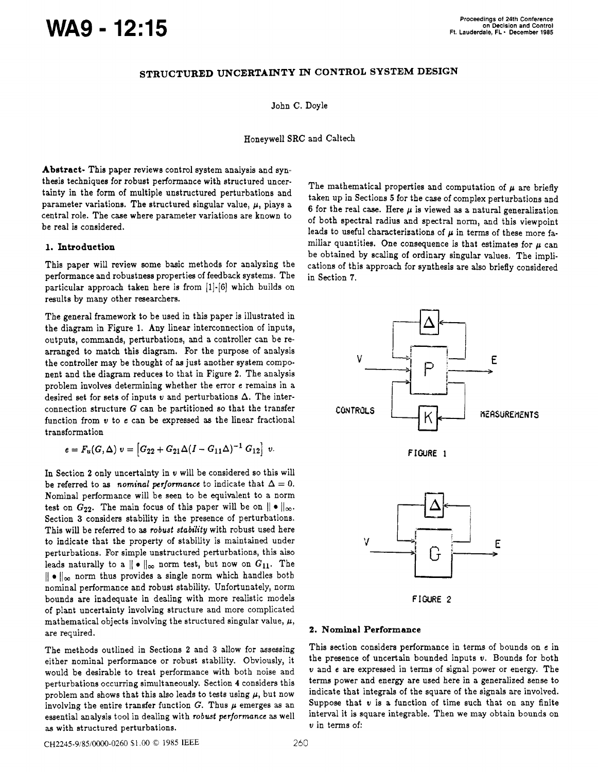# Proceedings of 24th Conference<br> **WAS - 12:15**<br>
Ft. Lauderdale, FL· December 1988

## **STRUCTURED UNCERTAINTY IN CONTROL SYSTEM DESIGN**

John C. Doyle

Honeywell SRC and Caltech

**Abstract-** This paper reviews control system analysis and synthesis techniques for robust performance with structured uncertainty in the form of multiple unstructured perturbations and parameter variations. The structured singular value,  $\mu$ , plays a central role. The case where parameter variations are known to be real is considered.

## **1. Introduction**

This paper will review some basic methods for analyzing the performance and robustness properties of feedback systems. The particular approach taken here is from **[l]-[G]** which builds on results by many other researchers.

The general framework to be used in this paper is illustrated in the diagram in Figure 1. Any linear interconnection of inputs, outputs, commands, perturbations, and a controller can be rearranged to match this diagram. For the purpose of analysis the controller may be thought of **as** just another system component and the diagram reduces to that in Figure **2.** The analysis problem involves determining whether the error e remains in a desired set for sets of inputs  $v$  and perturbations  $\Delta$ . The interconnection structure **G** can be partitioned so that the transfer function from **u** to e can be expressed **as** the linear fractional transformation

$$
e = F_u(G, \Delta) \ v = [G_{22} + G_{21} \Delta (I - G_{11} \Delta)^{-1} G_{12}] \ v.
$$

In Section **2** only uncertainty in **u** will be considered so this will be referred to as *nominal performance* to indicate that  $\Delta = 0$ . Nominal performance will be **seen** to be equivalent to a norm test on  $G_{22}$ . The main focus of this paper will be on  $\|\bullet\|_{\infty}$ . Section **3** considers stability in the presence of perturbations. This will be referred to **as robust stability** with robust used here to indicate that the property of stability is maintained under perturbations. For simple unstructured perturbations, this also leads naturally to a  $|| \cdot ||_{\infty}$  norm test, but now on  $G_{11}$ . The  $\|\cdot\|_{\infty}$  norm thus provides a single norm which handles both nominal performance and robust stability. Unfortunately, norm bounds are inadequate in dealing with more realistic models of plant uncertainty involving structure and more complicated mathematical objects involving the structured singular value,  $\mu$ , are required.

The methods outlined in Sections **2** and **3** allow for assessing either nominal performance or robust stability. Obviously, it would be desirable to treat performance with both noise and perturbations occurring simultaneously. Section **4** considers this problem and shows that this also leads to tests using  $\mu$ , but now involving the entire transfer function  $G$ . Thus  $\mu$  emerges as an essential analysis tool in dealing with **robwt performance as** well **as** with structured perturbations.

The mathematical properties and computation of  $\mu$  are briefly taken up in Sections *5* for the case of complex perturbations and 6 for the real case. Here  $\mu$  is viewed as a natural generalization of both spectral radius and spectral norm, and this viewpoint leads to useful characterizations of  $\mu$  in terms of these more familiar quantities. One consequence is that estimates for  $\mu$  can be obtained by scaling of ordinary singular values. The implications of this approach for synthesis are **also** briefly considered in Section **7.** 



## **2. Nominal Performance**

This section considers performance in terms of bounds on e in the presence of uncertain bounded inputs **u.** Bounds for both **u** and e are expressed in terms of signal power or energy. The terms power and energy are used here in a generalized sense to indicate that integrals of the square of the signals are involved. Suppose that **u** is a function of time such that on any finite interval it is square integrable. Then we may obtain bounds on **u** in terms of:

~~2245-9/85/0000-0260 \$1 .OO *0* 1985 IEEE 260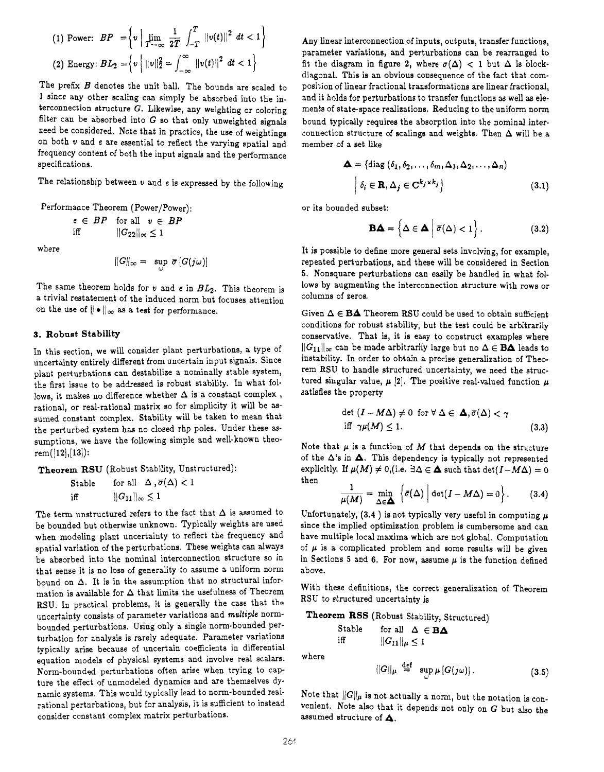(1) Power: 
$$
BP = \left\{ v \mid \lim_{T \to \infty} \frac{1}{2T} \int_{-T}^{T} ||v(t)||^2 dt < 1 \right\}
$$
  
(2) Energy:  $BL_2 = \left\{ v \mid ||v||_2^2 = \int_{-\infty}^{\infty} ||v(t)||^2 dt < 1 \right\}$ 

The prefix *B* denotes the unit ball. The bounds are scaled to 1 since any other scaling can simply be absorbed into the interconnection structure *G.* Likewise, any weighting or coloring filter can be absorbed into *G* so that only unweighted signals need be considered. Note that in practice, the use of weightinga on both **u** and **e** are essential to reflect the varying spatial and frequency content of both the input signals and the performance specifications.

The relationship between  $v$  and  $e$  is expressed by the following

Performance Theorem (Power/Power): or its bounded subset:

$$
e \in BP \quad \text{for all} \quad v \in BP
$$
  
iff 
$$
\|G_{22}\|_{\infty} \le 1
$$

where

$$
||G||_{\infty} = \sup_{\omega} \overline{\sigma} [G(j\omega)]
$$

The same theorem holds for **u** and **e** in *BLz.* This theorem is a trivial restatement of the induced norm but focuses attention on the use of  $\|\bullet\|_{\infty}$  as a test for performance.

## **3. Robust Stability**

In this section, we will consider plant perturbations, a type of uncertainty entirely different from uncertain input signals. Since plant perturbations can destabilize a nominally stable system, the first issue to be addressed is robust stability. In what follows, it makes no difference whether  $\Delta$  is a constant complex, rational, or real-rational matrix so for simplicity it will be **as**sumed constant complex. Stability will be taken to mean that the perturbed system has no closed rhp poles. Under these assumptions, we have the following simple and well-known theo $rem([12], [13])$ :

**Theorem RSU** (Robust Stability, Unstructured):

Stable for all 
$$
\Delta, \overline{\sigma}(\Delta) < 1
$$
  
iff  $||G_{11}||_{\infty} \le 1$ 

The term unstructured refers to the fact that  $\Delta$  is assumed to be bounded but otherwise unknown. Typically weights are used when modeling plant uncertainty to reflect the frequency and spatial variation of the perturbations. These weights can always be absorbed into the nominal interconnection structure so in that sense it is no loss of generality to assume a uniform norm bound on  $\Delta$ . It is in the assumption that no structural information is available for  $\Delta$  that limits the usefulness of Theorem RSU. In practical problems, it is generally the case that the uncertainty consists of parameter variations and *multiple* normbounded perturbations. Using only a single norm-bounded perturbation for analysis is rarely adequate. Parameter variations typically arise because of uncertain coefficients in differential equation models of physical systems and involve real scalars. Norm-bounded perturbations often arise when trying to capture the effect of unmodeled dynamics and are themselves dynamic systems. This would typically lead to norm-bounded reairational perturbations, but for analysis, it is sufficient to instead consider constant complex matrix perturbations.

Any linear interconnection of inputs, outputs, transfer functions, parameter variations, and perturbations can be rearranged to fit the diagram in figure 2, where  $\overline{\sigma}(\Delta)$  < 1 but  $\Delta$  is blockdiagonal. This is an obvious consequence of the fact that composition of linear fractional transformations are linear fractional, and it holds for perturbations to transfer functions as well **as** elements of state-space realizations. Reducing to the uniform norm bound typically requires the absorption into the nominal interconnection structure of scalings and weights. Then  $\Delta$  will be a member of a set like

$$
\Delta = \{ \text{diag}(\delta_1, \delta_2, \dots, \delta_m, \Delta_1, \Delta_2, \dots, \Delta_n) \mid \delta_i \in \mathbf{R}, \Delta_j \in \mathbf{C}^{k_j \times k_j} \}
$$
(3.1)

$$
\mathbf{B}\mathbf{\Delta} = \left\{ \Delta \in \mathbf{\Delta} \mid \overline{\sigma}(\Delta) < 1 \right\}. \tag{3.2}
$$

It is possible to define more general sets involving, for example, repeated perturbations, and these will be considered in Section **5.** Nonsquare perturbations can easily be handled in what follows by augmenting the interconnection structure with rows or columns of zeros.

Given  $\Delta \in \mathbf{BA}$  Theorem RSU could be used to obtain sufficient conditions for robust stability, but the test could be arbitrarily conservative. That is, it is easy to construct examples where  $||G_{11}||_{\infty}$  can be made arbitrarily large but no  $\Delta \in \mathbf{BA}$  leads to instability. In order to obtain a precise generalization of Theorem RSU to handle structured uncertainty, we need the structured singular value,  $\mu$  [2]. The positive real-valued function  $\mu$ satisfies the property

$$
\det (I - M\Delta) \neq 0 \text{ for } \forall \Delta \in \Delta, \overline{\sigma}(\Delta) < \gamma
$$
  
iff  $\gamma \mu(M) \leq 1.$  (3.3)

Note that  $\mu$  is a function of  $M$  that depends on the structure of the  $\Delta$ 's in  $\Delta$ . This dependency is typically not represented explicitly. If  $\mu(M) \neq 0$ , (i.e.  $\exists \Delta \in \Delta$  such that  $\det(I-M\Delta) = 0$ then

$$
\frac{1}{\mu(M)} = \min_{\Delta \in \mathbf{\Delta}} \left\{ \bar{\sigma}(\Delta) \mid \det(I - M\Delta) = 0 \right\}.
$$
 (3.4)

Unfortunately,  $(3.4)$  is not typically very useful in computing  $\mu$ since the implied optimization problem is cumbersome and can have multiple local maxima which are not global. Computation of  $\mu$  is a complicated problem and some results will be given in Sections 5 and 6. For now, assume  $\mu$  is the function defined above.

With these definitions, the correct generalization of Theorem RSU to structured uncertainty is

**Theorem RSS** (Robust Stability, Structured)

Stable for all 
$$
\Delta \in \mathbf{BA}
$$
  
iff  $||G_{11}||_{\mu} \le 1$ 

where

$$
||G||_{\mu} \stackrel{\text{def}}{=} \sup_{\omega} \mu \left[ G(j\omega) \right]. \tag{3.5}
$$

Note that  $||G||_{\mu}$  is not actually a norm, but the notation is convenient. Note also that it depends not only on *G* but also the assumed structure of **A.**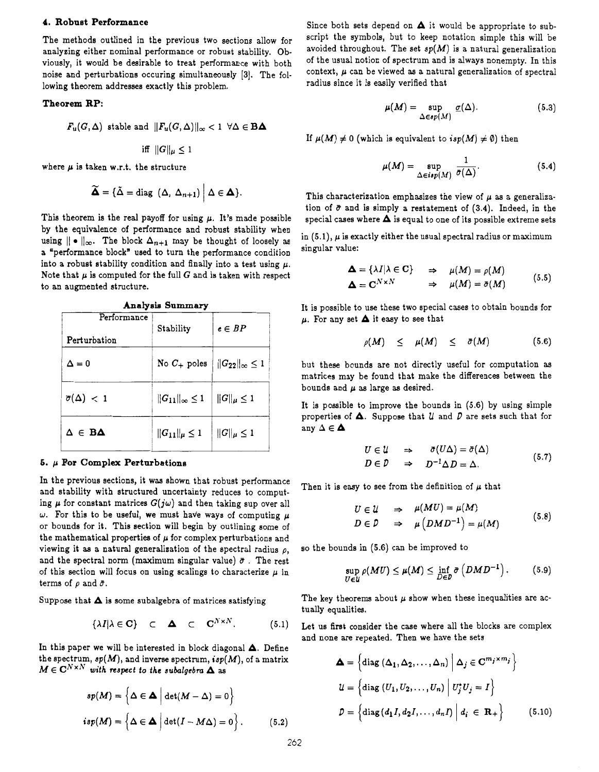## **4. Robust Performance**

The methods outlined in the previous two sections allow for analyzing either nominal performance or robust stability. Obviously, it would be desirable to treat performance with both noise and perturbations occuring simultaneously [3]. The following theorem addresses exactly this problem.

## **Theorem RP:**

$$
F_u(G, \Delta) \text{ stable and } ||F_u(G, \Delta)||_{\infty} < 1 \ \forall \Delta \in \mathbf{BA}
$$
  
iff  $||G||_{\mu} \le 1$ 

where  $\mu$  is taken w.r.t. the structure

$$
\widetilde{\Delta} = {\{\widetilde{\Delta} = \text{diag } (\Delta, \ \Delta_{n+1}) \mid \Delta \in \Delta \}}.
$$

This theorem is the real payoff for using  $\mu$ . It's made possible by the equivalence of performance and robust stability when using  $\|\cdot\|_{\infty}$ . The block  $\Delta_{n+1}$  may be thought of loosely as a "performance block' used to turn the performance condition into a robust stability condition and finally into a test using  $\mu$ . Note that  $\mu$  is computed for the full  $G$  and is taken with respect to an augmented structure.

| what's one nammary              |                              |                              |
|---------------------------------|------------------------------|------------------------------|
| Performance<br>Perturbation     | Stability                    | $e\in BP$                    |
| $\Delta=0$                      | No $C_+$ poles               | $  G_{22}  _{\infty} \leq 1$ |
| $\overline{\sigma}(\Delta)$ < 1 | $  G_{11}  _{\infty} \leq 1$ | $  G  _\mu \leq 1$           |
| $\Delta \in \mathbf{B}\Delta$   | $  G_{11}  _\mu\leq 1$       | $  G  _\mu \leq 1$           |

## **Analysia Summary**

## **6.** *p* **For Complex Perturbations**

In the previous sections, it was shown that robust performance and stability with structured uncertainty reduces to computing  $\mu$  for constant matrices  $G(j\omega)$  and then taking sup over all  $\omega$ . For this to be useful, we must have ways of computing  $\mu$ or bounds for it. This section will begin by outlining some of the mathematical properties of  $\mu$  for complex perturbations and viewing it **as** a natural generalization of the spectral radius *p,*  and the spectral norm (maximum singular value)  $\bar{\sigma}$ . The rest of this section will focus on using scalings to characterize  $\mu$  in terms of  $\rho$  and  $\bar{\sigma}$ .

Suppose that **A** is some subalgebra of matrices satisfying

$$
\{\lambda I | \lambda \in \mathbf{C}\} \quad \subset \quad \Delta \quad \subset \quad \mathbf{C}^{N \times N}.\tag{5.1}
$$

In this paper we will be interested in block diagonal **A.** Define the spectrum, *sp(M),* and inverse spectrum, *isp(M),* of a matrix  $M \in \mathbb{C}^{N \times N}$  with respect to the subalgebra  $\Delta$  as

$$
sp(M) = \left\{\Delta \in \Delta \mid \det(M - \Delta) = 0\right\}
$$
  
isp(M) =  $\left\{\Delta \in \Delta \mid \det(I - M\Delta) = 0\right\}$ . (5.2)

Since both sets depend on **A** it would be appropriate to subscript the symbols, but to keep notation simple this will be avoided throughout. The set  $sp(M)$  is a natural generalization of the usual notion of spectrum and is always nonempty. In this context,  $\mu$  can be viewed as a natural generalization of spectral radius since it is easily verified that

$$
\mu(M) = \sup_{\Delta \in sp(M)} \underline{\sigma}(\Delta). \tag{5.3}
$$

If  $\mu(M) \neq 0$  (which is equivalent to  $isp(M) \neq \emptyset$ ) then

$$
\mu(M) = \sup_{\Delta \in isp(M)} \frac{1}{\bar{\sigma}(\Delta)}.
$$
\n(5.4)

This characterization emphasizes the view of  $\mu$  as a generalization of  $\bar{\sigma}$  and is simply a restatement of (3.4). Indeed, in the special cases where **A** is equal to one of its possible extreme sets

in  $(5.1)$ ,  $\mu$  is exactly either the usual spectral radius or maximum singular value:

$$
\Delta = \{\lambda I | \lambda \in \mathbf{C}\} \Rightarrow \mu(M) = \rho(M)
$$
  

$$
\Delta = \mathbf{C}^{N \times N} \Rightarrow \mu(M) = \bar{\sigma}(M) \quad (5.5)
$$

It is possible to **use** these two special cases to obtain bounds for  $\mu$ . For any set  $\Delta$  it easy to see that

$$
\rho(M) \leq \mu(M) \leq \bar{\sigma}(M) \qquad (5.6)
$$

but these bounds are not directly useful for computation **as**  matrices may be found that make the differences between the bounds and *p* **as** large **as** desired.

It is possible to improve the bounds in (5.6) by using simple properties of  $\Delta$ . Suppose that  $\mathcal U$  and  $\mathcal P$  are sets such that for any  $\Delta \in \mathbf{\Delta}$ 

$$
U \in \mathcal{U} \quad \Rightarrow \quad \sigma(U\Delta) = \bar{\sigma}(\Delta)
$$
  
\n
$$
D \in \mathcal{D} \quad \Rightarrow \quad D^{-1}\Delta D = \Delta.
$$
 (5.7)

Then it is easy to see from the definition of  $\mu$  that

$$
U \in \mathcal{U} \quad \Rightarrow \quad \mu(MU) = \mu(M)
$$
  

$$
D \in \mathcal{D} \quad \Rightarrow \quad \mu(DMD^{-1}) = \mu(M) \tag{5.8}
$$

so the bounds in **(5.6)** can be improved to

$$
\sup_{U\in\mathcal{U}} \rho(MU) \leq \mu(M) \leq \inf_{D\in\mathcal{D}} \bar{\sigma}\left(DMD^{-1}\right). \tag{5.9}
$$

The key theorems about  $\mu$  show when these inequalities are actually equalities.

Let us first consider the case where all the blocks are complex and none are repeated. Then we have the sets

$$
\Delta = \left\{ \text{diag} \left( \Delta_1, \Delta_2, \dots, \Delta_n \right) \middle| \Delta_j \in \mathbf{C}^{m_j \times m_j} \right\}
$$

$$
\mathcal{U} = \left\{ \text{diag} \left( U_1, U_2, \dots, U_n \right) \middle| U_j^* U_j = I \right\}
$$

$$
\mathcal{D} = \left\{ \text{diag} \left( d_1 I, d_2 I, \dots, d_n I \right) \middle| d_i \in \mathbf{R}_+ \right\} \tag{5.10}
$$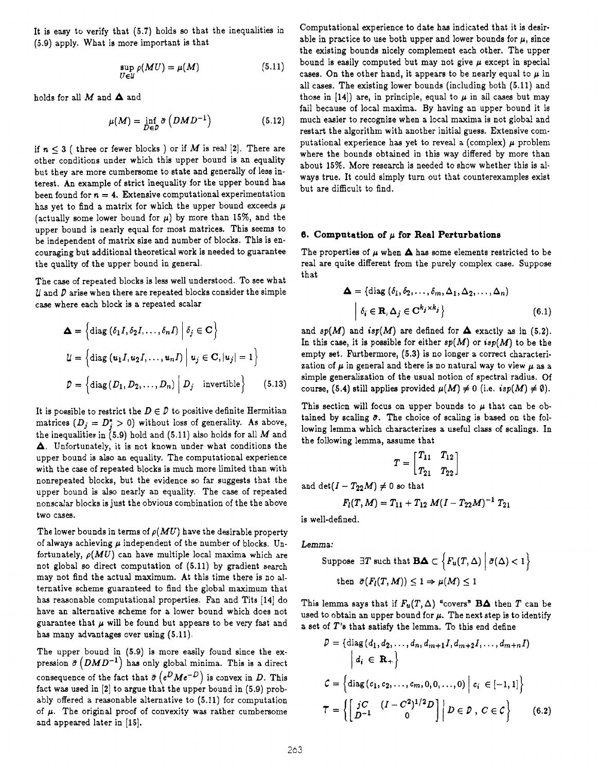It is easy to verify that **(5.7)** holds *so* that the inequaiities in **(5.9)** apply. What is more important is that

$$
\sup_{U \in \mathcal{U}} \rho(MU) = \mu(M) \tag{5.11}
$$

holds for all *M* and **A** and

$$
\mu(M) = \inf_{D \in D} \bar{\sigma} \left( DMD^{-1} \right) \tag{5.12}
$$

if  $n \leq 3$  ( three or fewer blocks ) or if *M* is real [2]. There are other conditions under which this upper bound is an equality but they are more cumbersome to state and generally of less interest. An example of strict inequality for the upper bound has been found for  $n = 4$ . Extensive computational experimentation has yet to find a matrix for which the upper bound exceeds  $\mu$ (actually some lower bound for  $\mu$ ) by more than 15%, and the upper bound is nearly equal for most matrices. This seems to be independent of matrix size and number of blocks. This is encouraging but additional theoretical work is needed to guarantee the quality of the upper bound in general,

The case of repeated blocks is less well understood. To see what *U* and *D* arise when there are repeated blocks consider the simple case where each block is a repeated scalar

$$
\Delta = \left\{ \text{diag} \left( \delta_1 I, \delta_2 I, \dots, \delta_n I \right) \middle| \delta_j \in \mathbf{C} \right\}
$$
  

$$
\mathcal{U} = \left\{ \text{diag} \left( u_1 I, u_2 I, \dots, u_n I \right) \middle| u_j \in \mathbf{C}, |u_j| = 1 \right\}
$$
  

$$
\mathcal{D} = \left\{ \text{diag} \left( D_1, D_2, \dots, D_n \right) \middle| D_j \text{ invertible} \right\} \qquad (5.13)
$$

It is possible to restrict the  $D \in \mathcal{D}$  to positive definite Hermitian matrices  $(D_i = D_i^* > 0)$  without loss of generality. As above, the inequalities in **(5.9)** hold and **(5.11)** also holds for all *M* and **A.** Unfortunately, it is not known under what conditions the upper bound is also an equality. The computational experience with the case of repeated blocks is much more limited than with nonrepeated blocks, but the evidence so far suggests that the upper bound is **also** nearly an equality. The case of repeated nonscalar blocks is just the obvious combination of the the above two cases.

The lower bounds in terms of  $\rho(MU)$  have the desirable property of always achieving *p* independent of the number of blocks. **Un**fortunately,  $\rho(MU)$  can have multiple local maxima which are not global so direct computation of **(5.11)** by gradient search may not find the actual maximum. At this time there is no alternative scheme guaranteed to find the global maximum that has reasonable computational properties. Fan and Tits [14] do have an alternative scheme for a lower bound which does not guarantee that  $\mu$  will be found but appears to be very fast and has many advantages over using  $(5.11)$ .

The upper bound in **(5.9)** is more easily found since the expression  $\bar{\sigma}$  (*DMD<sup>-1</sup>*) has only global minima. This is a direct consequence of the fact that  $\bar{\sigma}$  ( $e^{D}Me^{-D}$ ) is convex in *D*. This fact was used in **[2]** to argue that the upper bound in **(5.9)** probably offered a reasonable alternative to **(5.11)** for computation of  $\mu$ . The original proof of convexity was rather cumbersome and appeared later in **[15].** 

Computational experience to date has indicated that it is desirable in practice to use both upper and lower bounds for  $\mu$ , since the existing bounds nicely complement each other. The upper bound is easily computed but may not give *p* except in special cases. On the other hand, it appears to be nearly equal to  $\mu$  in all cases. The existing lower bounds (including both **(5.11)** and those in  $[14]$  are, in principle, equal to  $\mu$  in all cases but may fail because of local maxima. By having an upper bound it is much easier to recognize when a local maxima is not globa! and restart the algorithm with another initial guess. Extensive computational experience has yet to reveal a  $\text{(complex)}$   $\mu$  problem where the bounds obtained in this way differed by more than about **15%.** More research is needed to show whether this is always true. It could simply turn out that counterexamples exist but are difficult to find.

## **6. Computation of** *p* **for Real Perturbations**

The properties of  $\mu$  when  $\Delta$  has some elements restricted to be real are quite different from the purely complex case. Suppose that

$$
\Delta = \{ \text{diag}(\delta_1, \delta_2, \dots, \delta_m, \Delta_1, \Delta_2, \dots, \Delta_n) \mid \delta_i \in \mathbf{R}, \Delta_j \in \mathbf{C}^{k_j \times k_j} \}
$$
(6.1)

and  $sp(M)$  and  $isp(M)$  are defined for  $\Delta$  exactly as in (5.2). In this case, it is possible for either  $sp(M)$  or  $isp(M)$  to be the empty set. Furthermore, **(5.3)** is no longer a correct characterization of  $\mu$  in general and there is no natural way to view  $\mu$  as a simple generalization of the usual notion of spectral radius. Of course, (5.4) still applies provided  $\mu(M) \neq 0$  (i.e.  $isp(M) \neq \emptyset$ ).

This section will focus on upper bounds to  $\mu$  that can be obtained by scaling  $\bar{\sigma}$ . The choice of scaling is based on the following lemma which characterizes a useful class of scalings. In the following lemma, assume that

$$
T=\begin{bmatrix}T_{11}&T_{12}\\T_{21}&T_{22}\end{bmatrix}
$$

and  $\det(I - T_{22}M) \neq 0$  so that

$$
F_I(T,M)=T_{11}+T_{12}M(I-T_{22}M)^{-1}T_{21}
$$

is well-defined.

Lemma:

Suppose 
$$
\exists T
$$
 such that  $\mathbf{B}\mathbf{\Delta} \subset \left\{ F_u(T, \Delta) \middle| \ \overline{\sigma}(\Delta) < 1 \right\}$   
then  $\overline{\sigma}(F_l(T, M)) \leq 1 \Rightarrow \mu(M) \leq 1$ 

This lemma says that if  $F_u(T, \Delta)$  "covers" **BA** then *T* can be used to obtain an upper bound for  $\mu$ . The next step is to identify a set of *T's* that satisfy the lemma. To this end define

$$
\mathcal{D} = \{ \text{diag}(d_1, d_2, ..., d_n, d_{m+1}I, d_{m+2}I, ..., d_{m+n}I) \mid d_i \in \mathbf{R}_+ \}
$$
\n
$$
\mathcal{C} = \{ \text{diag}(c_1, c_2, ..., c_m, 0, 0, ..., 0) \mid c_i \in [-1, 1] \}
$$
\n
$$
\mathcal{T} = \left\{ \left[ \frac{jC}{D^{-1}} \left( I - C^2 \right)^{1/2} D \right] \mid D \in \mathcal{D}, C \in \mathcal{C} \right\} \qquad (6.2)
$$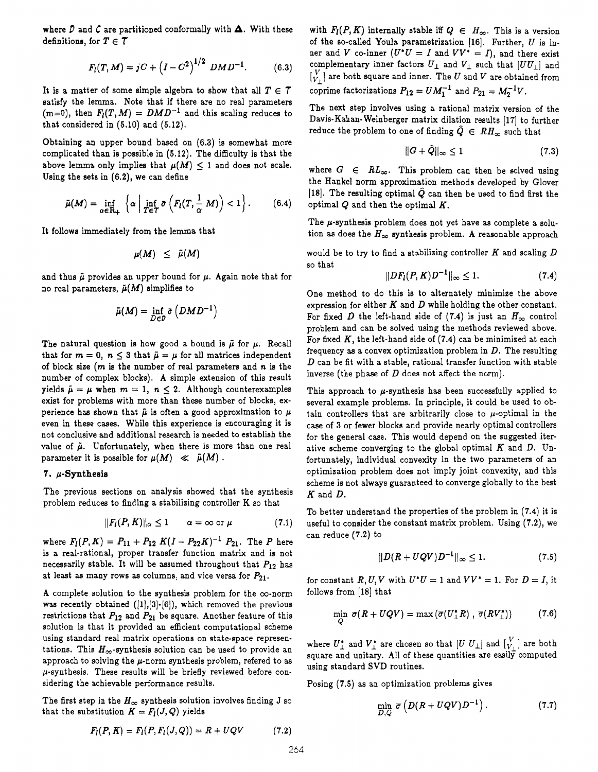where  $D$  and  $C$  are partitioned conformally with  $\Delta$ . With these definitions, for  $T \in \mathcal{T}$ 

$$
F_l(T, M) = jC + (I - C^2)^{1/2} DMD^{-1}.
$$
 (6.3)

It is a matter of some simple algebra to show that all  $T \in \mathcal{T}$ satisfy the lemma. Note that if there are no real parameters  $(m=0)$ , then  $F_l(T,M) = DMD^{-1}$  and this scaling reduces to that considered in **(5.10)** and **(5.12).** 

Obtaining an upper bound based on **(6.3)** is somewhat more complicated than is possible in **(5.12).** The difficulty is that the above lemma only implies that  $\mu(M)$  < 1 and does not scale. Using the sets in **(6.2),** we can define

$$
\tilde{\mu}(M) = \inf_{\alpha \in \mathbf{R}_+} \left\{ \alpha \mid \inf_{T \in \mathcal{T}} \bar{\sigma} \left( F_l(T, \frac{1}{\alpha} M) \right) < 1 \right\}. \tag{6.4}
$$

It follows immediately from the lemma that

$$
\mu(M) \leq \tilde{\mu}(M)
$$

and thus  $\tilde{\mu}$  provides an upper bound for  $\mu$ . Again note that for<br>no real parameters,  $\tilde{\mu}(M)$  simplifies to<br> $\tilde{\mu}(M) = \inf_{D \in \mathcal{D}} \tilde{\sigma}(DMD^{-1})$ no real parameters,  $\tilde{\mu}(M)$  simplifies to

$$
\tilde{\mu}(M) = \inf_{D \in \mathcal{D}} \tilde{\sigma}(DMD^{-1})
$$

The natural question is how good a bound is  $\tilde{\mu}$  for  $\mu$ . Recall that for  $m = 0$ ,  $n \leq 3$  that  $\tilde{\mu} = \mu$  for all matrices independent of block size **(rn** is the number of real parameters and **n** is the number of complex blocks). **A** simple extension of this result yields  $\tilde{\mu} = \mu$  when  $m = 1$ ,  $n \leq 2$ . Although counterexamples exist for problems with more than these number of blocks, experience has shown that  $\tilde{\mu}$  is often a good approximation to  $\mu$ even in these cases. While this experience is encouraging it is not conclusive and additional research is needed to establish the value of  $\tilde{\mu}$ . Unfortunately, when there is more than one real parameter it is possible for  $\mu(M) \ll \tilde{\mu}(M)$ .

#### **7. p-Synthesis**

The previous sections on analysis showed that the synthesis problem reduces to finding a stabilizing controller K so that

$$
||F_l(P,K)||_{\alpha} \leq 1 \qquad \alpha = \infty \text{ or } \mu \qquad (7.1)
$$

where  $F_l(P,K) = P_{11} + P_{12} K(I - P_{22}K)^{-1} P_{21}$ . The *P* here is a real-rational, proper transfer function matrix and is not necessarily stable. It will be assumed throughout that *P12* has at least **as** many rows **as** columns, and vice versa for *Pzl.* 

A complete solution to the synthesis problem for the  $\infty$ -norm was recently obtained **([1],[3]-[6]),** which removed the previous restrictions that *P12* and *P21* be square. Another feature of this solution is that it provided an efficient computational scheme using standard real matrix operations on statespace representations. This  $H_{\infty}$ -synthesis solution can be used to provide an approach to solving the  $\mu$ -norm synthesis problem, refered to as  $\mu$ -synthesis. These results will be briefly reviewed before considering the achievable performance results.

The first step in the  $H_{\infty}$  synthesis solution involves finding **J** so that the substitution  $K = F_l(J, Q)$  yields

 $F_l(P, K) = F_l(P, F_l(J, Q)) = R + UQV$  (7.2)

with  $F_l(P, K)$  internally stable iff  $Q \in H_\infty$ . This is a version of the so-called Youla parametrization **[16].** Further, *U* is inner and *V* co-inner  $(U^*U = I$  and  $VV^* = I)$ , and there exist complementary inner factors  $U_{\perp}$  and  $V_{\perp}$  such that  $[UU_{\perp}]$  and  $[V_V]$  are both square and inner. The *U* and *V* are obtained from coprime factorizations  $P_{12} = UM_1^{-1}$  and  $P_{21} = M_2^{-1}V$ .

The next step involvea using a rational matrix version of the Davis-Kahan- Weinberger matrix dilation results [ **171** to further reduce the problem to one of finding  $\hat{Q} \in RH_{\infty}$  such that

$$
||G + \hat{Q}||_{\infty} \le 1 \tag{7.3}
$$

where  $G \in RL_{\infty}$ . This problem can then be solved using the Hankel norm approximation methods developed by Glover [18]. The resulting optimal  $\hat{Q}$  can then be used to find first the optimal *Q* and then the optimal *K.* 

The  $\mu$ -synthesis problem does not yet have as complete a solution as does the  $H_{\infty}$  synthesis problem. A reasonable approach

would be to try to find a stabilizing controller *K* and scaling *D*  so that

$$
||DF_{l}(P, K)D^{-1}||_{\infty} \leq 1. \tag{7.4}
$$

One method to do this is to alternately minimize the above expression for either *K* and D while holding the other constant. For fixed *D* the left-hand side of (7.4) is just an  $H_{\infty}$  control problem and can be solved using the methods reviewed above. For fixed *K,* the left-hand side of **(7.4)** can be minimized at each frequency **as** a convex optimization problem in *D.* The resulting *D* can be fit with a stable, rational transfer function with stable inverse (the phase of *D* does not affect the norm).

This approach to  $\mu$ -synthesis has been successfully applied to several example problems. In principle, it could be used to obtain controllers that are arbitrarily close to  $\mu$ -optimal in the case of **3** or fewer blocks and provide nearly optimal controllers for the general case. This would depend on the suggested iterative scheme converging to the global optimal *K* and *D.* **Un**fortunately, individual convexity in the two parameters of an optimization problem does not imply joint convexity, and this scheme is not always guaranteed to converge globally to the best *K* and *D.* 

To better understand the properties of the problem in **(7.4)** it is useful to consider the constant matrix probiem. Using **(7.2),** we can reduce **(7.2)** to

$$
||D(R + UQV)D^{-1}||_{\infty} \le 1. \tag{7.5}
$$

for constant *R*, *U*, *V* with  $U^*U = 1$  and  $VV^* = 1$ . For  $D = I$ , it follows from **[18]** that

$$
\min_{Q} \; \overline{\sigma}(R + UQV) = \max\left(\overline{\sigma}(U_{\perp}^{*}R) \; , \; \overline{\sigma}(RV_{\perp}^{*})\right) \tag{7.6}
$$

where  $U^*_{\perp}$  and  $V^*_{\perp}$  are chosen so that  $[U]$   $U_{\perp}$  and  $\begin{bmatrix} V_{\perp} \\ V_{\perp} \end{bmatrix}$  are both square and unitary. All of these quantities are easily computed using standard SVD routines.

Posing **(7.5)** as an optimization problems gives

$$
\min_{D,Q} \; \overline{\sigma} \left( D(R + UQV)D^{-1} \right). \tag{7.7}
$$